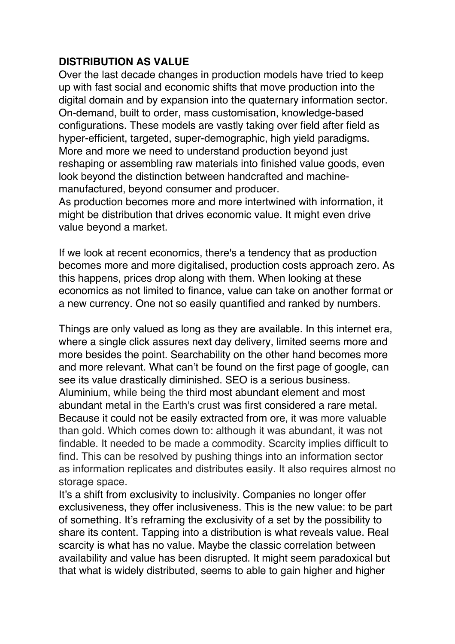## **DISTRIBUTION AS VALUE**

Over the last decade changes in production models have tried to keep up with fast social and economic shifts that move production into the digital domain and by expansion into the quaternary information sector. On-demand, built to order, mass customisation, knowledge-based configurations. These models are vastly taking over field after field as hyper-efficient, targeted, super-demographic, high yield paradigms. More and more we need to understand production beyond just reshaping or assembling raw materials into finished value goods, even look beyond the distinction between handcrafted and machinemanufactured, beyond consumer and producer.

As production becomes more and more intertwined with information, it might be distribution that drives economic value. It might even drive value beyond a market.

If we look at recent economics, there's a tendency that as production becomes more and more digitalised, production costs approach zero. As this happens, prices drop along with them. When looking at these economics as not limited to finance, value can take on another format or a new currency. One not so easily quantified and ranked by numbers.

Things are only valued as long as they are available. In this internet era, where a single click assures next day delivery, limited seems more and more besides the point. Searchability on the other hand becomes more and more relevant. What can't be found on the first page of google, can see its value drastically diminished. SEO is a serious business. Aluminium, while being the third most abundant element and most abundant metal in the Earth's crust was first considered a rare metal. Because it could not be easily extracted from ore, it was more valuable than gold. Which comes down to: although it was abundant, it was not findable. It needed to be made a commodity. Scarcity implies difficult to find. This can be resolved by pushing things into an information sector as information replicates and distributes easily. It also requires almost no storage space.

It's a shift from exclusivity to inclusivity. Companies no longer offer exclusiveness, they offer inclusiveness. This is the new value: to be part of something. It's reframing the exclusivity of a set by the possibility to share its content. Tapping into a distribution is what reveals value. Real scarcity is what has no value. Maybe the classic correlation between availability and value has been disrupted. It might seem paradoxical but that what is widely distributed, seems to able to gain higher and higher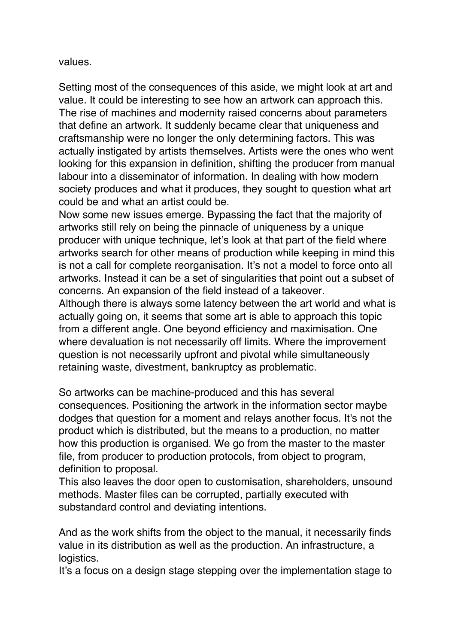values.

Setting most of the consequences of this aside, we might look at art and value. It could be interesting to see how an artwork can approach this. The rise of machines and modernity raised concerns about parameters that define an artwork. It suddenly became clear that uniqueness and craftsmanship were no longer the only determining factors. This was actually instigated by artists themselves. Artists were the ones who went looking for this expansion in definition, shifting the producer from manual labour into a disseminator of information. In dealing with how modern society produces and what it produces, they sought to question what art could be and what an artist could be.

Now some new issues emerge. Bypassing the fact that the majority of artworks still rely on being the pinnacle of uniqueness by a unique producer with unique technique, let's look at that part of the field where artworks search for other means of production while keeping in mind this is not a call for complete reorganisation. It's not a model to force onto all artworks. Instead it can be a set of singularities that point out a subset of concerns. An expansion of the field instead of a takeover.

Although there is always some latency between the art world and what is actually going on, it seems that some art is able to approach this topic from a different angle. One beyond efficiency and maximisation. One where devaluation is not necessarily off limits. Where the improvement question is not necessarily upfront and pivotal while simultaneously retaining waste, divestment, bankruptcy as problematic.

So artworks can be machine-produced and this has several consequences. Positioning the artwork in the information sector maybe dodges that question for a moment and relays another focus. It's not the product which is distributed, but the means to a production, no matter how this production is organised. We go from the master to the master file, from producer to production protocols, from object to program, definition to proposal.

This also leaves the door open to customisation, shareholders, unsound methods. Master files can be corrupted, partially executed with substandard control and deviating intentions.

And as the work shifts from the object to the manual, it necessarily finds value in its distribution as well as the production. An infrastructure, a logistics.

It's a focus on a design stage stepping over the implementation stage to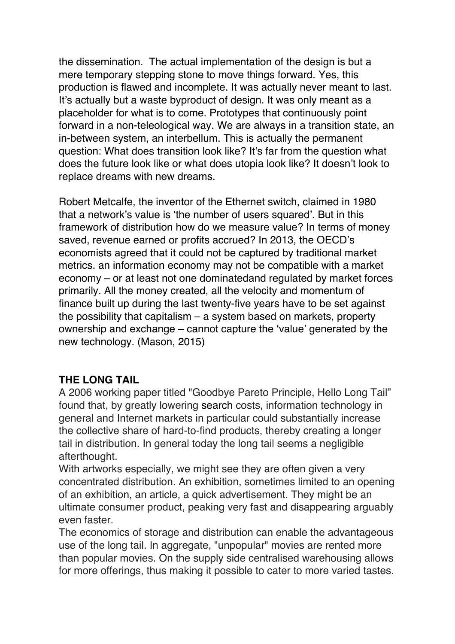the dissemination. The actual implementation of the design is but a mere temporary stepping stone to move things forward. Yes, this production is flawed and incomplete. It was actually never meant to last. It's actually but a waste byproduct of design. It was only meant as a placeholder for what is to come. Prototypes that continuously point forward in a non-teleological way. We are always in a transition state, an in-between system, an interbellum. This is actually the permanent question: What does transition look like? It's far from the question what does the future look like or what does utopia look like? It doesn't look to replace dreams with new dreams.

Robert Metcalfe, the inventor of the Ethernet switch, claimed in 1980 that a network's value is 'the number of users squared'. But in this framework of distribution how do we measure value? In terms of money saved, revenue earned or profits accrued? In 2013, the OECD's economists agreed that it could not be captured by traditional market metrics. an information economy may not be compatible with a market economy – or at least not one dominatedand regulated by market forces primarily. All the money created, all the velocity and momentum of finance built up during the last twenty-five years have to be set against the possibility that capitalism – a system based on markets, property ownership and exchange – cannot capture the 'value' generated by the new technology. (Mason, 2015)

## **THE LONG TAIL**

A 2006 working paper titled "Goodbye Pareto Principle, Hello Long Tail" found that, by greatly lowering search costs, information technology in general and Internet markets in particular could substantially increase the collective share of hard-to-find products, thereby creating a longer tail in distribution. In general today the long tail seems a negligible afterthought.

With artworks especially, we might see they are often given a very concentrated distribution. An exhibition, sometimes limited to an opening of an exhibition, an article, a quick advertisement. They might be an ultimate consumer product, peaking very fast and disappearing arguably even faster.

The economics of storage and distribution can enable the advantageous use of the long tail. In aggregate, "unpopular" movies are rented more than popular movies. On the supply side centralised warehousing allows for more offerings, thus making it possible to cater to more varied tastes.